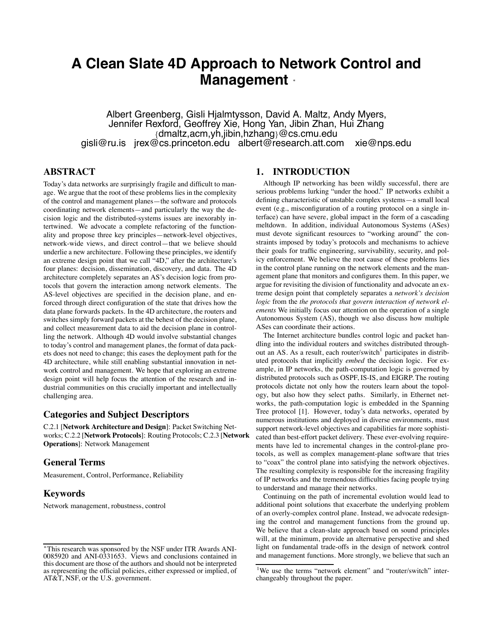# **A Clean Slate 4D Approach to Network Control and Management** <sup>∗</sup>

Albert Greenberg, Gisli Hjalmtysson, David A. Maltz, Andy Myers, Jennifer Rexford, Geoffrey Xie, Hong Yan, Jibin Zhan, Hui Zhang {dmaltz,acm,yh,jibin,hzhang}@cs.cmu.edu gisli@ru.is jrex@cs.princeton.edu albert@research.att.com xie@nps.edu

# **ABSTRACT**

Today's data networks are surprisingly fragile and difficult to manage. We argue that the root of these problems lies in the complexity of the control and management planes—the software and protocols coordinating network elements—and particularly the way the decision logic and the distributed-systems issues are inexorably intertwined. We advocate a complete refactoring of the functionality and propose three key principles—network-level objectives, network-wide views, and direct control—that we believe should underlie a new architecture. Following these principles, we identify an extreme design point that we call "4D," after the architecture's four planes: decision, dissemination, discovery, and data. The 4D architecture completely separates an AS's decision logic from protocols that govern the interaction among network elements. The AS-level objectives are specified in the decision plane, and enforced through direct configuration of the state that drives how the data plane forwards packets. In the 4D architecture, the routers and switches simply forward packets at the behest of the decision plane, and collect measurement data to aid the decision plane in controlling the network. Although 4D would involve substantial changes to today's control and management planes, the format of data packets does not need to change; this eases the deployment path for the 4D architecture, while still enabling substantial innovation in network control and management. We hope that exploring an extreme design point will help focus the attention of the research and industrial communities on this crucially important and intellectually challenging area.

## **Categories and Subject Descriptors**

C.2.1 [**Network Architecture and Design**]: Packet Switching Networks; C.2.2 [**Network Protocols**]: Routing Protocols; C.2.3 [**Network Operations**]: Network Management

## **General Terms**

Measurement, Control, Performance, Reliability

## **Keywords**

Network management, robustness, control

## **1. INTRODUCTION**

Although IP networking has been wildly successful, there are serious problems lurking "under the hood." IP networks exhibit a defining characteristic of unstable complex systems—a small local event (e.g., misconfiguration of a routing protocol on a single interface) can have severe, global impact in the form of a cascading meltdown. In addition, individual Autonomous Systems (ASes) must devote significant resources to "working around" the constraints imposed by today's protocols and mechanisms to achieve their goals for traffic engineering, survivability, security, and policy enforcement. We believe the root cause of these problems lies in the control plane running on the network elements and the management plane that monitors and configures them. In this paper, we argue for revisiting the division of functionality and advocate an extreme design point that completely separates a *network's decision logic* from the *the protocols that govern interaction of network elements* We initially focus our attention on the operation of a single Autonomous System (AS), though we also discuss how multiple ASes can coordinate their actions.

The Internet architecture bundles control logic and packet handling into the individual routers and switches distributed throughout an AS. As a result, each router/switch<sup>1</sup> participates in distributed protocols that implicitly *embed* the decision logic. For example, in IP networks, the path-computation logic is governed by distributed protocols such as OSPF, IS-IS, and EIGRP. The routing protocols dictate not only how the routers learn about the topology, but also how they select paths. Similarly, in Ethernet networks, the path-computation logic is embedded in the Spanning Tree protocol [1]. However, today's data networks, operated by numerous institutions and deployed in diverse environments, must support network-level objectives and capabilities far more sophisticated than best-effort packet delivery. These ever-evolving requirements have led to incremental changes in the control-plane protocols, as well as complex management-plane software that tries to "coax" the control plane into satisfying the network objectives. The resulting complexity is responsible for the increasing fragility of IP networks and the tremendous difficulties facing people trying to understand and manage their networks.

Continuing on the path of incremental evolution would lead to additional point solutions that exacerbate the underlying problem of an overly-complex control plane. Instead, we advocate redesigning the control and management functions from the ground up. We believe that a clean-slate approach based on sound principles will, at the minimum, provide an alternative perspective and shed light on fundamental trade-offs in the design of network control and management functions. More strongly, we believe that such an

<sup>∗</sup>This research was sponsored by the NSF under ITR Awards ANI-0085920 and ANI-0331653. Views and conclusions contained in this document are those of the authors and should not be interpreted as representing the official policies, either expressed or implied, of AT&T, NSF, or the U.S. government.

<sup>&</sup>lt;sup>1</sup>We use the terms "network element" and "router/switch" interchangeably throughout the paper.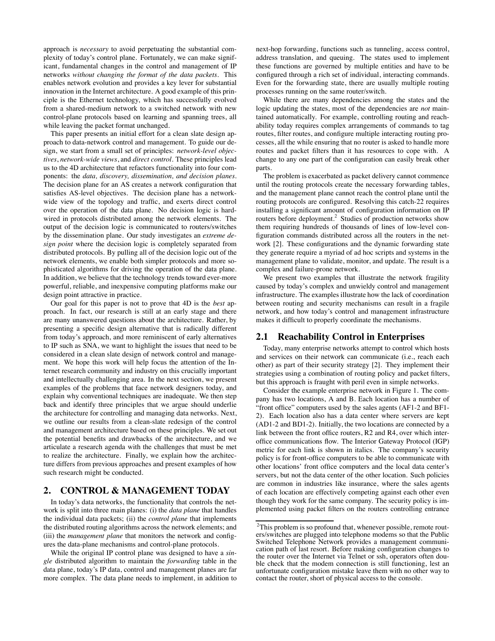approach is *necessary* to avoid perpetuating the substantial complexity of today's control plane. Fortunately, we can make significant, fundamental changes in the control and management of IP networks *without changing the format of the data packets*. This enables network evolution and provides a key lever for substantial innovation in the Internet architecture. A good example of this principle is the Ethernet technology, which has successfully evolved from a shared-medium network to a switched network with new control-plane protocols based on learning and spanning trees, all while leaving the packet format unchanged.

This paper presents an initial effort for a clean slate design approach to data-network control and management. To guide our design, we start from a small set of principles: *network-level objectives*, *network-wide views*, and *direct control*. These principles lead us to the 4D architecture that refactors functionality into four components: the *data, discovery, dissemination, and decision planes*. The decision plane for an AS creates a network configuration that satisfies AS-level objectives. The decision plane has a networkwide view of the topology and traffic, and exerts direct control over the operation of the data plane. No decision logic is hardwired in protocols distributed among the network elements. The output of the decision logic is communicated to routers/switches by the dissemination plane. Our study investigates an *extreme design point* where the decision logic is completely separated from distributed protocols. By pulling all of the decision logic out of the network elements, we enable both simpler protocols and more sophisticated algorithms for driving the operation of the data plane. In addition, we believe that the technology trends toward ever-more powerful, reliable, and inexpensive computing platforms make our design point attractive in practice.

Our goal for this paper is not to prove that 4D is the *best* approach. In fact, our research is still at an early stage and there are many unanswered questions about the architecture. Rather, by presenting a specific design alternative that is radically different from today's approach, and more reminiscent of early alternatives to IP such as SNA, we want to highlight the issues that need to be considered in a clean slate design of network control and management. We hope this work will help focus the attention of the Internet research community and industry on this crucially important and intellectually challenging area. In the next section, we present examples of the problems that face network designers today, and explain why conventional techniques are inadequate. We then step back and identify three principles that we argue should underlie the architecture for controlling and managing data networks. Next, we outline our results from a clean-slate redesign of the control and management architecture based on these principles. We set out the potential benefits and drawbacks of the architecture, and we articulate a research agenda with the challenges that must be met to realize the architecture. Finally, we explain how the architecture differs from previous approaches and present examples of how such research might be conducted.

#### **2. CONTROL & MANAGEMENT TODAY**

In today's data networks, the functionality that controls the network is split into three main planes: (i) the *data plane* that handles the individual data packets; (ii) the *control plane* that implements the distributed routing algorithms across the network elements; and (iii) the *management plane* that monitors the network and configures the data-plane mechanisms and control-plane protocols.

While the original IP control plane was designed to have a *single* distributed algorithm to maintain the *forwarding* table in the data plane, today's IP data, control and management planes are far more complex. The data plane needs to implement, in addition to

next-hop forwarding, functions such as tunneling, access control, address translation, and queuing. The states used to implement these functions are governed by multiple entities and have to be configured through a rich set of individual, interacting commands. Even for the forwarding state, there are usually multiple routing processes running on the same router/switch.

While there are many dependencies among the states and the logic updating the states, most of the dependencies are *not* maintained automatically. For example, controlling routing and reachability today requires complex arrangements of commands to tag routes, filter routes, and configure multiple interacting routing processes, all the while ensuring that no router is asked to handle more routes and packet filters than it has resources to cope with. A change to any one part of the configuration can easily break other parts.

The problem is exacerbated as packet delivery cannot commence until the routing protocols create the necessary forwarding tables, and the management plane cannot reach the control plane until the routing protocols are configured. Resolving this catch-22 requires installing a significant amount of configuration information on IP routers before deployment.<sup>2</sup> Studies of production networks show them requiring hundreds of thousands of lines of low-level configuration commands distributed across all the routers in the network [2]. These configurations and the dynamic forwarding state they generate require a myriad of ad hoc scripts and systems in the management plane to validate, monitor, and update. The result is a complex and failure-prone network.

We present two examples that illustrate the network fragility caused by today's complex and unwieldy control and management infrastructure. The examples illustrate how the lack of coordination between routing and security mechanisms can result in a fragile network, and how today's control and management infrastructure makes it difficult to properly coordinate the mechanisms.

#### **2.1 Reachability Control in Enterprises**

Today, many enterprise networks attempt to control which hosts and services on their network can communicate (i.e., reach each other) as part of their security strategy [2]. They implement their strategies using a combination of routing policy and packet filters, but this approach is fraught with peril even in simple networks.

Consider the example enterprise network in Figure 1. The company has two locations, A and B. Each location has a number of "front office" computers used by the sales agents (AF1-2 and BF1- 2). Each location also has a data center where servers are kept (AD1-2 and BD1-2). Initially, the two locations are connected by a link between the front office routers, R2 and R4, over which interoffice communications flow. The Interior Gateway Protocol (IGP) metric for each link is shown in italics. The company's security policy is for front-office computers to be able to communicate with other locations' front office computers and the local data center's servers, but not the data center of the other location. Such policies are common in industries like insurance, where the sales agents of each location are effectively competing against each other even though they work for the same company. The security policy is implemented using packet filters on the routers controlling entrance

 $2$ This problem is so profound that, whenever possible, remote routers/switches are plugged into telephone modems so that the Public Switched Telephone Network provides a management communication path of last resort. Before making configuration changes to the router over the Internet via Telnet or ssh, operators often double check that the modem connection is still functioning, lest an unfortunate configuration mistake leave them with no other way to contact the router, short of physical access to the console.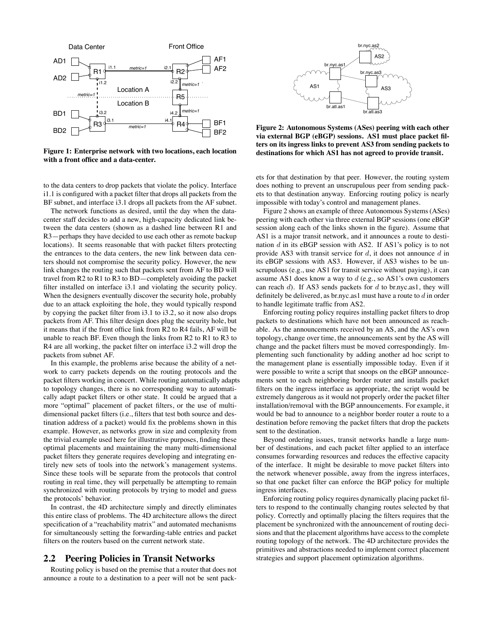

**Figure 1: Enterprise network with two locations, each location with a front office and a data-center.**

to the data centers to drop packets that violate the policy. Interface i1.1 is configured with a packet filter that drops all packets from the BF subnet, and interface i3.1 drops all packets from the AF subnet.

The network functions as desired, until the day when the datacenter staff decides to add a new, high-capacity dedicated link between the data centers (shown as a dashed line between R1 and R3—perhaps they have decided to use each other as remote backup locations). It seems reasonable that with packet filters protecting the entrances to the data centers, the new link between data centers should not compromise the security policy. However, the new link changes the routing such that packets sent from AF to BD will travel from R2 to R1 to R3 to BD—completely avoiding the packet filter installed on interface i3.1 and violating the security policy. When the designers eventually discover the security hole, probably due to an attack exploiting the hole, they would typically respond by copying the packet filter from i3.1 to i3.2, so it now also drops packets from AF. This filter design does plug the security hole, but it means that if the front office link from R2 to R4 fails, AF will be unable to reach BF. Even though the links from R2 to R1 to R3 to R4 are all working, the packet filter on interface i3.2 will drop the packets from subnet AF.

In this example, the problems arise because the ability of a network to carry packets depends on the routing protocols and the packet filters working in concert. While routing automatically adapts to topology changes, there is no corresponding way to automatically adapt packet filters or other state. It could be argued that a more "optimal" placement of packet filters, or the use of multidimensional packet filters (i.e., filters that test both source and destination address of a packet) would fix the problems shown in this example. However, as networks grow in size and complexity from the trivial example used here for illustrative purposes, finding these optimal placements and maintaining the many multi-dimensional packet filters they generate requires developing and integrating entirely new sets of tools into the network's management systems. Since these tools will be separate from the protocols that control routing in real time, they will perpetually be attempting to remain synchronized with routing protocols by trying to model and guess the protocols' behavior.

In contrast, the 4D architecture simply and directly eliminates this entire class of problems. The 4D architecture allows the direct specification of a "reachability matrix" and automated mechanisms for simultaneously setting the forwarding-table entries and packet filters on the routers based on the current network state.

#### **2.2 Peering Policies in Transit Networks**

Routing policy is based on the premise that a router that does not announce a route to a destination to a peer will not be sent pack-



**Figure 2: Autonomous Systems (ASes) peering with each other via external BGP (eBGP) sessions. AS1 must place packet filters on its ingress links to prevent AS3 from sending packets to destinations for which AS1 has not agreed to provide transit.**

ets for that destination by that peer. However, the routing system does nothing to prevent an unscrupulous peer from sending packets to that destination anyway. Enforcing routing policy is nearly impossible with today's control and management planes.

Figure 2 shows an example of three Autonomous Systems (ASes) peering with each other via three external BGP sessions (one eBGP session along each of the links shown in the figure). Assume that AS1 is a major transit network, and it announces a route to destination  $d$  in its eBGP session with AS2. If AS1's policy is to not provide AS3 with transit service for  $d$ , it does not announce  $d$  in its eBGP sessions with AS3. However, if AS3 wishes to be unscrupulous (e.g., use AS1 for transit service without paying), it can assume AS1 does know a way to  $d$  (e.g., so AS1's own customers can reach  $d$ ). If AS3 sends packets for  $d$  to br.nyc.as1, they will definitely be delivered, as br.nyc.as1 must have a route to  $d$  in order to handle legitimate traffic from AS2.

Enforcing routing policy requires installing packet filters to drop packets to destinations which have not been announced as reachable. As the announcements received by an AS, and the AS's own topology, change over time, the announcements sent by the AS will change and the packet filters must be moved correspondingly. Implementing such functionality by adding another ad hoc script to the management plane is essentially impossible today. Even if it were possible to write a script that snoops on the eBGP announcements sent to each neighboring border router and installs packet filters on the ingress interface as appropriate, the script would be extremely dangerous as it would not properly order the packet filter installation/removal with the BGP announcements. For example, it would be bad to announce to a neighbor border router a route to a destination before removing the packet filters that drop the packets sent to the destination.

Beyond ordering issues, transit networks handle a large number of destinations, and each packet filter applied to an interface consumes forwarding resources and reduces the effective capacity of the interface. It might be desirable to move packet filters into the network whenever possible, away from the ingress interfaces, so that one packet filter can enforce the BGP policy for multiple ingress interfaces.

Enforcing routing policy requires dynamically placing packet filters to respond to the continually changing routes selected by that policy. Correctly and optimally placing the filters requires that the placement be synchronized with the announcement of routing decisions and that the placement algorithms have access to the complete routing topology of the network. The 4D architecture provides the primitives and abstractions needed to implement correct placement strategies and support placement optimization algorithms.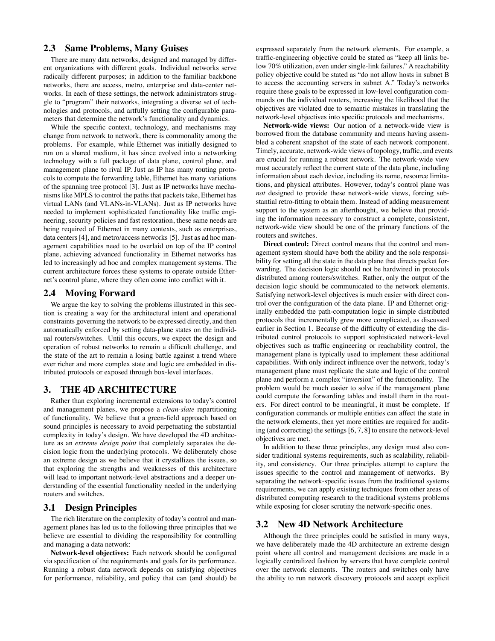## **2.3 Same Problems, Many Guises**

There are many data networks, designed and managed by different organizations with different goals. Individual networks serve radically different purposes; in addition to the familiar backbone networks, there are access, metro, enterprise and data-center networks. In each of these settings, the network administrators struggle to "program" their networks, integrating a diverse set of technologies and protocols, and artfully setting the configurable parameters that determine the network's functionality and dynamics.

While the specific context, technology, and mechanisms may change from network to network, there is commonality among the problems. For example, while Ethernet was initially designed to run on a shared medium, it has since evolved into a networking technology with a full package of data plane, control plane, and management plane to rival IP. Just as IP has many routing protocols to compute the forwarding table, Ethernet has many variations of the spanning tree protocol [3]. Just as IP networks have mechanisms like MPLS to control the paths that packets take, Ethernet has virtual LANs (and VLANs-in-VLANs). Just as IP networks have needed to implement sophisticated functionality like traffic engineering, security policies and fast restoration, these same needs are being required of Ethernet in many contexts, such as enterprises, data centers [4], and metro/access networks [5]. Just as ad hoc management capabilities need to be overlaid on top of the IP control plane, achieving advanced functionality in Ethernet networks has led to increasingly ad hoc and complex management systems. The current architecture forces these systems to operate outside Ethernet's control plane, where they often come into conflict with it.

# **2.4 Moving Forward**

We argue the key to solving the problems illustrated in this section is creating a way for the architectural intent and operational constraints governing the network to be expressed directly, and then automatically enforced by setting data-plane states on the individual routers/switches. Until this occurs, we expect the design and operation of robust networks to remain a difficult challenge, and the state of the art to remain a losing battle against a trend where ever richer and more complex state and logic are embedded in distributed protocols or exposed through box-level interfaces.

#### **3. THE 4D ARCHITECTURE**

Rather than exploring incremental extensions to today's control and management planes, we propose a *clean-slate* repartitioning of functionality. We believe that a green-field approach based on sound principles is necessary to avoid perpetuating the substantial complexity in today's design. We have developed the 4D architecture as an *extreme design point* that completely separates the decision logic from the underlying protocols. We deliberately chose an extreme design as we believe that it crystallizes the issues, so that exploring the strengths and weaknesses of this architecture will lead to important network-level abstractions and a deeper understanding of the essential functionality needed in the underlying routers and switches.

# **3.1 Design Principles**

The rich literature on the complexity of today's control and management planes has led us to the following three principles that we believe are essential to dividing the responsibility for controlling and managing a data network:

**Network-level objectives:** Each network should be configured via specification of the requirements and goals for its performance. Running a robust data network depends on satisfying objectives for performance, reliability, and policy that can (and should) be expressed separately from the network elements. For example, a traffic-engineering objective could be stated as "keep all links below 70% utilization, even under single-link failures." A reachability policy objective could be stated as "do not allow hosts in subnet B to access the accounting servers in subnet A." Today's networks require these goals to be expressed in low-level configuration commands on the individual routers, increasing the likelihood that the objectives are violated due to semantic mistakes in translating the network-level objectives into specific protocols and mechanisms.

**Network-wide views:** Our notion of a network-wide view is borrowed from the database community and means having assembled a coherent snapshot of the state of each network component. Timely, accurate, network-wide views of topology, traffic, and events are crucial for running a robust network. The network-wide view must accurately reflect the current state of the data plane, including information about each device, including its name, resource limitations, and physical attributes. However, today's control plane was *not* designed to provide these network-wide views, forcing substantial retro-fitting to obtain them. Instead of adding measurement support to the system as an afterthought, we believe that providing the information necessary to construct a complete, consistent, network-wide view should be one of the primary functions of the routers and switches.

**Direct control:** Direct control means that the control and management system should have both the ability and the sole responsibility for setting all the state in the data plane that directs packet forwarding. The decision logic should not be hardwired in protocols distributed among routers/switches. Rather, only the output of the decision logic should be communicated to the network elements. Satisfying network-level objectives is much easier with direct control over the configuration of the data plane. IP and Ethernet originally embedded the path-computation logic in simple distributed protocols that incrementally grew more complicated, as discussed earlier in Section 1. Because of the difficulty of extending the distributed control protocols to support sophisticated network-level objectives such as traffic engineering or reachability control, the management plane is typically used to implement these additional capabilities. With only indirect influence over the network, today's management plane must replicate the state and logic of the control plane and perform a complex "inversion" of the functionality. The problem would be much easier to solve if the management plane could compute the forwarding tables and install them in the routers. For direct control to be meaningful, it must be complete. If configuration commands or multiple entities can affect the state in the network elements, then yet more entities are required for auditing (and correcting) the settings [6, 7, 8] to ensure the network-level objectives are met.

In addition to these three principles, any design must also consider traditional systems requirements, such as scalability, reliability, and consistency. Our three principles attempt to capture the issues specific to the control and management of networks. By separating the network-specific issues from the traditional systems requirements, we can apply existing techniques from other areas of distributed computing research to the traditional systems problems while exposing for closer scrutiny the network-specific ones.

#### **3.2 New 4D Network Architecture**

Although the three principles could be satisfied in many ways, we have deliberately made the 4D architecture an extreme design point where all control and management decisions are made in a logically centralized fashion by servers that have complete control over the network elements. The routers and switches only have the ability to run network discovery protocols and accept explicit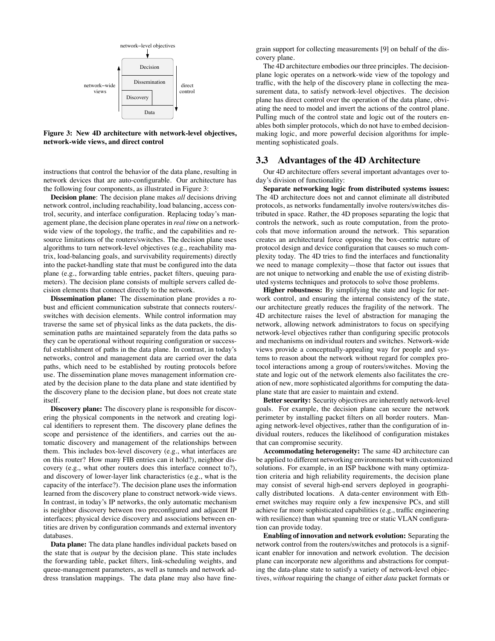

**Figure 3: New 4D architecture with network-level objectives, network-wide views, and direct control**

instructions that control the behavior of the data plane, resulting in network devices that are auto-configurable. Our architecture has the following four components, as illustrated in Figure 3:

**Decision plane**: The decision plane makes *all* decisions driving network control, including reachability, load balancing, access control, security, and interface configuration. Replacing today's management plane, the decision plane operates in *real time* on a networkwide view of the topology, the traffic, and the capabilities and resource limitations of the routers/switches. The decision plane uses algorithms to turn network-level objectives (e.g., reachability matrix, load-balancing goals, and survivability requirements) directly into the packet-handling state that must be configured into the data plane (e.g., forwarding table entries, packet filters, queuing parameters). The decision plane consists of multiple servers called decision elements that connect directly to the network.

**Dissemination plane:** The dissemination plane provides a robust and efficient communication substrate that connects routers/ switches with decision elements. While control information may traverse the same set of physical links as the data packets, the dissemination paths are maintained separately from the data paths so they can be operational without requiring configuration or successful establishment of paths in the data plane. In contrast, in today's networks, control and management data are carried over the data paths, which need to be established by routing protocols before use. The dissemination plane moves management information created by the decision plane to the data plane and state identified by the discovery plane to the decision plane, but does not create state itself.

**Discovery plane:** The discovery plane is responsible for discovering the physical components in the network and creating logical identifiers to represent them. The discovery plane defines the scope and persistence of the identifiers, and carries out the automatic discovery and management of the relationships between them. This includes box-level discovery (e.g., what interfaces are on this router? How many FIB entries can it hold?), neighbor discovery (e.g., what other routers does this interface connect to?), and discovery of lower-layer link characteristics (e.g., what is the capacity of the interface?). The decision plane uses the information learned from the discovery plane to construct network-wide views. In contrast, in today's IP networks, the only automatic mechanism is neighbor discovery between two preconfigured and adjacent IP interfaces; physical device discovery and associations between entities are driven by configuration commands and external inventory databases.

**Data plane:** The data plane handles individual packets based on the state that is *output* by the decision plane. This state includes the forwarding table, packet filters, link-scheduling weights, and queue-management parameters, as well as tunnels and network address translation mappings. The data plane may also have finegrain support for collecting measurements [9] on behalf of the discovery plane.

The 4D architecture embodies our three principles. The decisionplane logic operates on a network-wide view of the topology and traffic, with the help of the discovery plane in collecting the measurement data, to satisfy network-level objectives. The decision plane has direct control over the operation of the data plane, obviating the need to model and invert the actions of the control plane. Pulling much of the control state and logic out of the routers enables both simpler protocols, which do not have to embed decisionmaking logic, and more powerful decision algorithms for implementing sophisticated goals.

#### **3.3 Advantages of the 4D Architecture**

Our 4D architecture offers several important advantages over today's division of functionality:

**Separate networking logic from distributed systems issues:** The 4D architecture does not and cannot eliminate all distributed protocols, as networks fundamentally involve routers/switches distributed in space. Rather, the 4D proposes separating the logic that controls the network, such as route computation, from the protocols that move information around the network. This separation creates an architectural force opposing the box-centric nature of protocol design and device configuration that causes so much complexity today. The 4D tries to find the interfaces and functionality we need to manage complexity—those that factor out issues that are not unique to networking and enable the use of existing distributed systems techniques and protocols to solve those problems.

**Higher robustness:** By simplifying the state and logic for network control, and ensuring the internal consistency of the state, our architecture greatly reduces the fragility of the network. The 4D architecture raises the level of abstraction for managing the network, allowing network administrators to focus on specifying network-level objectives rather than configuring specific protocols and mechanisms on individual routers and switches. Network-wide views provide a conceptually-appealing way for people and systems to reason about the network without regard for complex protocol interactions among a group of routers/switches. Moving the state and logic out of the network elements also facilitates the creation of new, more sophisticated algorithms for computing the dataplane state that are easier to maintain and extend.

**Better security:** Security objectives are inherently network-level goals. For example, the decision plane can secure the network perimeter by installing packet filters on all border routers. Managing network-level objectives, rather than the configuration of individual routers, reduces the likelihood of configuration mistakes that can compromise security.

**Accommodating heterogeneity:** The same 4D architecture can be applied to different networking environments but with customized solutions. For example, in an ISP backbone with many optimization criteria and high reliability requirements, the decision plane may consist of several high-end servers deployed in geographically distributed locations. A data-center environment with Ethernet switches may require only a few inexpensive PCs, and still achieve far more sophisticated capabilities (e.g., traffic engineering with resilience) than what spanning tree or static VLAN configuration can provide today.

**Enabling of innovation and network evolution:** Separating the network control from the routers/switches and protocols is a significant enabler for innovation and network evolution. The decision plane can incorporate new algorithms and abstractions for computing the data-plane state to satisfy a variety of network-level objectives, *without* requiring the change of either *data* packet formats or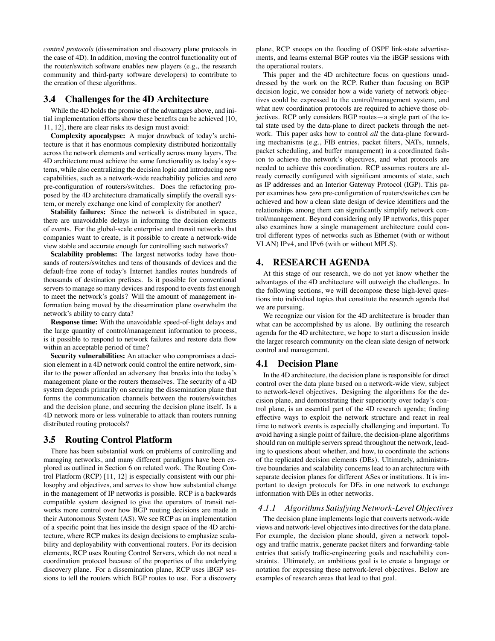*control protocols* (dissemination and discovery plane protocols in the case of 4D). In addition, moving the control functionality out of the router/switch software enables new players (e.g., the research community and third-party software developers) to contribute to the creation of these algorithms.

## **3.4 Challenges for the 4D Architecture**

While the 4D holds the promise of the advantages above, and initial implementation efforts show these benefits can be achieved [10, 11, 12], there are clear risks its design must avoid:

**Complexity apocalypse:** A major drawback of today's architecture is that it has enormous complexity distributed horizontally across the network elements and vertically across many layers. The 4D architecture must achieve the same functionality as today's systems, while also centralizing the decision logic and introducing new capabilities, such as a network-wide reachability policies and zero pre-configuration of routers/switches. Does the refactoring proposed by the 4D architecture dramatically simplify the overall system, or merely exchange one kind of complexity for another?

**Stability failures:** Since the network is distributed in space, there are unavoidable delays in informing the decision elements of events. For the global-scale enterprise and transit networks that companies want to create, is it possible to create a network-wide view stable and accurate enough for controlling such networks?

**Scalability problems:** The largest networks today have thousands of routers/switches and tens of thousands of devices and the default-free zone of today's Internet handles routes hundreds of thousands of destination prefixes. Is it possible for conventional servers to manage so many devices and respond to events fast enough to meet the network's goals? Will the amount of management information being moved by the dissemination plane overwhelm the network's ability to carry data?

**Response time:** With the unavoidable speed-of-light delays and the large quantity of control/management information to process, is it possible to respond to network failures and restore data flow within an acceptable period of time?

**Security vulnerabilities:** An attacker who compromises a decision element in a 4D network could control the entire network, similar to the power afforded an adversary that breaks into the today's management plane or the routers themselves. The security of a 4D system depends primarily on securing the dissemination plane that forms the communication channels between the routers/switches and the decision plane, and securing the decision plane itself. Is a 4D network more or less vulnerable to attack than routers running distributed routing protocols?

#### **3.5 Routing Control Platform**

There has been substantial work on problems of controlling and managing networks, and many different paradigms have been explored as outlined in Section 6 on related work. The Routing Control Platform (RCP) [11, 12] is especially consistent with our philosophy and objectives, and serves to show how substantial change in the management of IP networks is possible. RCP is a backwards compatible system designed to give the operators of transit networks more control over how BGP routing decisions are made in their Autonomous System (AS). We see RCP as an implementation of a specific point that lies inside the design space of the 4D architecture, where RCP makes its design decisions to emphasize scalability and deployability with conventional routers. For its decision elements, RCP uses Routing Control Servers, which do not need a coordination protocol because of the properties of the underlying discovery plane. For a dissemination plane, RCP uses iBGP sessions to tell the routers which BGP routes to use. For a discovery

plane, RCP snoops on the flooding of OSPF link-state advertisements, and learns external BGP routes via the iBGP sessions with the operational routers.

This paper and the 4D architecture focus on questions unaddressed by the work on the RCP. Rather than focusing on BGP decision logic, we consider how a wide variety of network objectives could be expressed to the control/management system, and what new coordination protocols are required to achieve those objectives. RCP only considers BGP routes—a single part of the total state used by the data-plane to direct packets through the network. This paper asks how to control *all* the data-plane forwarding mechanisms (e.g., FIB entries, packet filters, NATs, tunnels, packet scheduling, and buffer management) in a coordinated fashion to achieve the network's objectives, and what protocols are needed to achieve this coordination. RCP assumes routers are already correctly configured with significant amounts of state, such as IP addresses and an Interior Gateway Protocol (IGP). This paper examines how *zero* pre-configuration of routers/switches can be achieved and how a clean slate design of device identifiers and the relationships among them can significantly simplify network control/management. Beyond considering only IP networks, this paper also examines how a single management architecture could control different types of networks such as Ethernet (with or without VLAN) IPv4, and IPv6 (with or without MPLS).

### **4. RESEARCH AGENDA**

At this stage of our research, we do not yet know whether the advantages of the 4D architecture will outweigh the challenges. In the following sections, we will decompose these high-level questions into individual topics that constitute the research agenda that we are pursuing.

We recognize our vision for the 4D architecture is broader than what can be accomplished by us alone. By outlining the research agenda for the 4D architecture, we hope to start a discussion inside the larger research community on the clean slate design of network control and management.

#### **4.1 Decision Plane**

In the 4D architecture, the decision plane is responsible for direct control over the data plane based on a network-wide view, subject to network-level objectives. Designing the algorithms for the decision plane, and demonstrating their superiority over today's control plane, is an essential part of the 4D research agenda; finding effective ways to exploit the network structure and react in real time to network events is especially challenging and important. To avoid having a single point of failure, the decision-plane algorithms should run on multiple servers spread throughout the network, leading to questions about whether, and how, to coordinate the actions of the replicated decision elements (DEs). Ultimately, administrative boundaries and scalability concerns lead to an architecture with separate decision planes for different ASes or institutions. It is important to design protocols for DEs in one network to exchange information with DEs in other networks.

#### *4.1.1 Algorithms Satisfying Network-Level Objectives*

The decision plane implements logic that converts network-wide views and network-level objectives into directives for the data plane. For example, the decision plane should, given a network topology and traffic matrix, generate packet filters and forwarding-table entries that satisfy traffic-engineering goals and reachability constraints. Ultimately, an ambitious goal is to create a language or notation for expressing these network-level objectives. Below are examples of research areas that lead to that goal.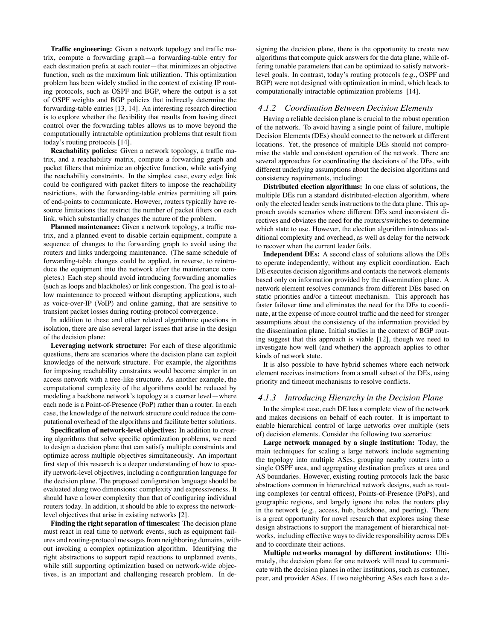**Traffic engineering:** Given a network topology and traffic matrix, compute a forwarding graph—a forwarding-table entry for each destination prefix at each router—that minimizes an objective function, such as the maximum link utilization. This optimization problem has been widely studied in the context of existing IP routing protocols, such as OSPF and BGP, where the output is a set of OSPF weights and BGP policies that indirectly determine the forwarding-table entries [13, 14]. An interesting research direction is to explore whether the flexibility that results from having direct control over the forwarding tables allows us to move beyond the computationally intractable optimization problems that result from today's routing protocols [14].

**Reachability policies:** Given a network topology, a traffic matrix, and a reachability matrix, compute a forwarding graph and packet filters that minimize an objective function, while satisfying the reachability constraints. In the simplest case, every edge link could be configured with packet filters to impose the reachability restrictions, with the forwarding-table entries permitting all pairs of end-points to communicate. However, routers typically have resource limitations that restrict the number of packet filters on each link, which substantially changes the nature of the problem.

**Planned maintenance:** Given a network topology, a traffic matrix, and a planned event to disable certain equipment, compute a sequence of changes to the forwarding graph to avoid using the routers and links undergoing maintenance. (The same schedule of forwarding-table changes could be applied, in reverse, to reintroduce the equipment into the network after the maintenance completes.) Each step should avoid introducing forwarding anomalies (such as loops and blackholes) or link congestion. The goal is to allow maintenance to proceed without disrupting applications, such as voice-over-IP (VoIP) and online gaming, that are sensitive to transient packet losses during routing-protocol convergence.

In addition to these and other related algorithmic questions in isolation, there are also several larger issues that arise in the design of the decision plane:

**Leveraging network structure:** For each of these algorithmic questions, there are scenarios where the decision plane can exploit knowledge of the network structure. For example, the algorithms for imposing reachability constraints would become simpler in an access network with a tree-like structure. As another example, the computational complexity of the algorithms could be reduced by modeling a backbone network's topology at a coarser level—where each node is a Point-of-Presence (PoP) rather than a router. In each case, the knowledge of the network structure could reduce the computational overhead of the algorithms and facilitate better solutions.

**Specification of network-level objectives:** In addition to creating algorithms that solve specific optimization problems, we need to design a decision plane that can satisfy multiple constraints and optimize across multiple objectives simultaneously. An important first step of this research is a deeper understanding of how to specify network-level objectives, including a configuration language for the decision plane. The proposed configuration language should be evaluated along two dimensions: complexity and expressiveness. It should have a lower complexity than that of configuring individual routers today. In addition, it should be able to express the networklevel objectives that arise in existing networks [2].

**Finding the right separation of timescales:** The decision plane must react in real time to network events, such as equipment failures and routing-protocol messages from neighboring domains, without invoking a complex optimization algorithm. Identifying the right abstractions to support rapid reactions to unplanned events, while still supporting optimization based on network-wide objectives, is an important and challenging research problem. In designing the decision plane, there is the opportunity to create new algorithms that compute quick answers for the data plane, while offering tunable parameters that can be optimized to satisfy networklevel goals. In contrast, today's routing protocols (e.g., OSPF and BGP) were not designed with optimization in mind, which leads to computationally intractable optimization problems [14].

#### *4.1.2 Coordination Between Decision Elements*

Having a reliable decision plane is crucial to the robust operation of the network. To avoid having a single point of failure, multiple Decision Elements (DEs) should connect to the network at different locations. Yet, the presence of multiple DEs should not compromise the stable and consistent operation of the network. There are several approaches for coordinating the decisions of the DEs, with different underlying assumptions about the decision algorithms and consistency requirements, including:

**Distributed election algorithms:** In one class of solutions, the multiple DEs run a standard distributed-election algorithm, where only the elected leader sends instructions to the data plane. This approach avoids scenarios where different DEs send inconsistent directives and obviates the need for the routers/switches to determine which state to use. However, the election algorithm introduces additional complexity and overhead, as well as delay for the network to recover when the current leader fails.

**Independent DEs:** A second class of solutions allows the DEs to operate independently, without any explicit coordination. Each DE executes decision algorithms and contacts the network elements based only on information provided by the dissemination plane. A network element resolves commands from different DEs based on static priorities and/or a timeout mechanism. This approach has faster failover time and eliminates the need for the DEs to coordinate, at the expense of more control traffic and the need for stronger assumptions about the consistency of the information provided by the dissemination plane. Initial studies in the context of BGP routing suggest that this approach is viable [12], though we need to investigate how well (and whether) the approach applies to other kinds of network state.

It is also possible to have hybrid schemes where each network element receives instructions from a small subset of the DEs, using priority and timeout mechanisms to resolve conflicts.

#### *4.1.3 Introducing Hierarchy in the Decision Plane*

In the simplest case, each DE has a complete view of the network and makes decisions on behalf of each router. It is important to enable hierarchical control of large networks over multiple (sets of) decision elements. Consider the following two scenarios:

**Large network managed by a single institution:** Today, the main techniques for scaling a large network include segmenting the topology into multiple ASes, grouping nearby routers into a single OSPF area, and aggregating destination prefixes at area and AS boundaries. However, existing routing protocols lack the basic abstractions common in hierarchical network designs, such as routing complexes (or central offices), Points-of-Presence (PoPs), and geographic regions, and largely ignore the roles the routers play in the network (e.g., access, hub, backbone, and peering). There is a great opportunity for novel research that explores using these design abstractions to support the management of hierarchical networks, including effective ways to divide responsibility across DEs and to coordinate their actions.

**Multiple networks managed by different institutions:** Ultimately, the decision plane for one network will need to communicate with the decision planes in other institutions, such as customer, peer, and provider ASes. If two neighboring ASes each have a de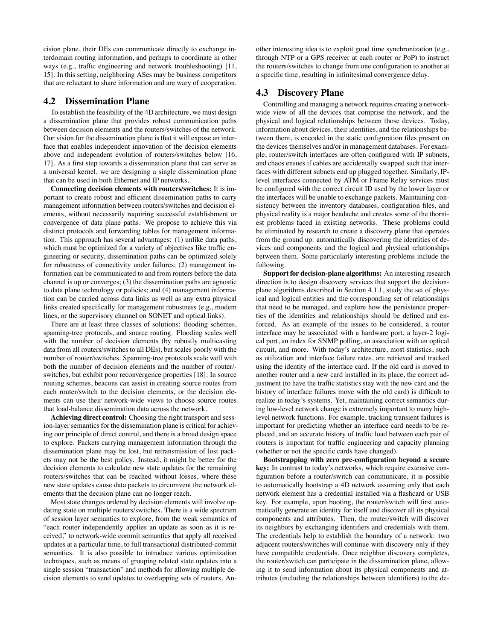cision plane, their DEs can communicate directly to exchange interdomain routing information, and perhaps to coordinate in other ways (e.g., traffic engineering and network troubleshooting) [11, 15]. In this setting, neighboring ASes may be business competitors that are reluctant to share information and are wary of cooperation.

### **4.2 Dissemination Plane**

To establish the feasibility of the 4D architecture, we must design a dissemination plane that provides robust communication paths between decision elements and the routers/switches of the network. Our vision for the dissemination plane is that it will expose an interface that enables independent innovation of the decision elements above and independent evolution of routers/switches below [16, 17]. As a first step towards a dissemination plane that can serve as a universal kernel, we are designing a single dissemination plane that can be used in both Ethernet and IP networks.

**Connecting decision elements with routers/switches:** It is important to create robust and efficient dissemination paths to carry management information between routers/switches and decision elements, without necessarily requiring successful establishment or convergence of data plane paths. We propose to achieve this via distinct protocols and forwarding tables for management information. This approach has several advantages: (1) unlike data paths, which must be optimized for a variety of objectives like traffic engineering or security, dissemination paths can be optimized solely for robustness of connectivity under failures; (2) management information can be communicated to and from routers before the data channel is up or converges; (3) the dissemination paths are agnostic to data plane technology or policies; and (4) management information can be carried across data links as well as any extra physical links created specifically for management robustness (e.g., modem lines, or the supervisory channel on SONET and optical links).

There are at least three classes of solutions: flooding schemes, spanning-tree protocols, and source routing. Flooding scales well with the number of decision elements (by robustly multicasting data from all routers/switches to all DEs), but scales poorly with the number of router/switches. Spanning-tree protocols scale well with both the number of decision elements and the number of router/ switches, but exhibit poor reconvergence properties [18]. In source routing schemes, beacons can assist in creating source routes from each router/switch to the decision elements, or the decision elements can use their network-wide views to choose source routes that load-balance dissemination data across the network.

**Achieving direct control:** Choosing the right transport and session-layer semantics for the dissemination plane is critical for achieving our principle of direct control, and there is a broad design space to explore. Packets carrying management information through the dissemination plane may be lost, but retransmission of lost packets may not be the best policy. Instead, it might be better for the decision elements to calculate new state updates for the remaining routers/switches that can be reached without losses, where these new state updates cause data packets to circumvent the network elements that the decision plane can no longer reach.

Most state changes ordered by decision elements will involve updating state on multiple routers/switches. There is a wide spectrum of session layer semantics to explore, from the weak semantics of "each router independently applies an update as soon as it is received," to network-wide commit semantics that apply all received updates at a particular time, to full transactional distributed-commit semantics. It is also possible to introduce various optimization techniques, such as means of grouping related state updates into a single session "transaction" and methods for allowing multiple decision elements to send updates to overlapping sets of routers. Another interesting idea is to exploit good time synchronization (e.g., through NTP or a GPS receiver at each router or PoP) to instruct the routers/switches to change from one configuration to another at a specific time, resulting in infinitesimal convergence delay.

## **4.3 Discovery Plane**

Controlling and managing a network requires creating a networkwide view of all the devices that comprise the network, and the physical and logical relationships between those devices. Today, information about devices, their identities, and the relationships between them, is encoded in the static configuration files present on the devices themselves and/or in management databases. For example, router/switch interfaces are often configured with IP subnets, and chaos ensues if cables are accidentally swapped such that interfaces with different subnets end up plugged together. Similarly, IPlevel interfaces connected by ATM or Frame Relay services must be configured with the correct circuit ID used by the lower layer or the interfaces will be unable to exchange packets. Maintaining consistency between the inventory databases, configuration files, and physical reality is a major headache and creates some of the thorniest problems faced in existing networks. These problems could be eliminated by research to create a discovery plane that operates from the ground up: automatically discovering the identities of devices and components and the logical and physical relationships between them. Some particularly interesting problems include the following.

**Support for decision-plane algorithms:** An interesting research direction is to design discovery services that support the decisionplane algorithms described in Section 4.1.1, study the set of physical and logical entities and the corresponding set of relationships that need to be managed, and explore how the persistence properties of the identities and relationships should be defined and enforced. As an example of the issues to be considered, a router interface may be associated with a hardware port, a layer-2 logical port, an index for SNMP polling, an association with an optical circuit, and more. With today's architecture, most statistics, such as utilization and interface failure rates, are retrieved and tracked using the identity of the interface card. If the old card is moved to another router and a new card installed in its place, the correct adjustment (to have the traffic statistics stay with the new card and the history of interface failures move with the old card) is difficult to realize in today's systems. Yet, maintaining correct semantics during low-level network change is extremely important to many highlevel network functions. For example, tracking transient failures is important for predicting whether an interface card needs to be replaced, and an accurate history of traffic load between each pair of routers is important for traffic engineering and capacity planning (whether or not the specific cards have changed).

**Bootstrapping with zero pre-configuration beyond a secure key:** In contrast to today's networks, which require extensive configuration before a router/switch can communicate, it is possible to automatically bootstrap a 4D network assuming only that each network element has a credential installed via a flashcard or USB key. For example, upon booting, the router/switch will first automatically generate an identity for itself and discover all its physical components and attributes. Then, the router/switch will discover its neighbors by exchanging identifiers and credentials with them. The credentials help to establish the boundary of a network: two adjacent routers/switches will continue with discovery only if they have compatible credentials. Once neighbor discovery completes, the router/switch can participate in the dissemination plane, allowing it to send information about its physical components and attributes (including the relationships between identifiers) to the de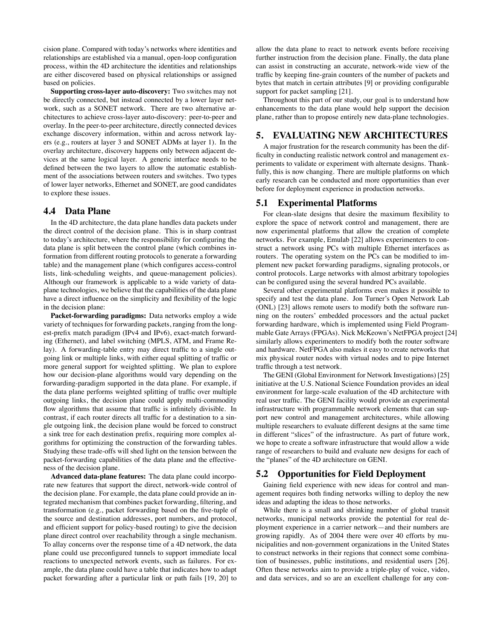cision plane. Compared with today's networks where identities and relationships are established via a manual, open-loop configuration process, within the 4D architecture the identities and relationships are either discovered based on physical relationships or assigned based on policies.

**Supporting cross-layer auto-discovery:** Two switches may not be directly connected, but instead connected by a lower layer network, such as a SONET network. There are two alternative architectures to achieve cross-layer auto-discovery: peer-to-peer and overlay. In the peer-to-peer architecture, directly connected devices exchange discovery information, within and across network layers (e.g., routers at layer 3 and SONET ADMs at layer 1). In the overlay architecture, discovery happens only between adjacent devices at the same logical layer. A generic interface needs to be defined between the two layers to allow the automatic establishment of the associations between routers and switches. Two types of lower layer networks, Ethernet and SONET, are good candidates to explore these issues.

#### **4.4 Data Plane**

In the 4D architecture, the data plane handles data packets under the direct control of the decision plane. This is in sharp contrast to today's architecture, where the responsibility for configuring the data plane is split between the control plane (which combines information from different routing protocols to generate a forwarding table) and the management plane (which configures access-control lists, link-scheduling weights, and queue-management policies). Although our framework is applicable to a wide variety of dataplane technologies, we believe that the capabilities of the data plane have a direct influence on the simplicity and flexibility of the logic in the decision plane:

**Packet-forwarding paradigms:** Data networks employ a wide variety of techniques for forwarding packets, ranging from the longest-prefix match paradigm (IPv4 and IPv6), exact-match forwarding (Ethernet), and label switching (MPLS, ATM, and Frame Relay). A forwarding-table entry may direct traffic to a single outgoing link or multiple links, with either equal splitting of traffic or more general support for weighted splitting. We plan to explore how our decision-plane algorithms would vary depending on the forwarding-paradigm supported in the data plane. For example, if the data plane performs weighted splitting of traffic over multiple outgoing links, the decision plane could apply multi-commodity flow algorithms that assume that traffic is infinitely divisible. In contrast, if each router directs all traffic for a destination to a single outgoing link, the decision plane would be forced to construct a sink tree for each destination prefix, requiring more complex algorithms for optimizing the construction of the forwarding tables. Studying these trade-offs will shed light on the tension between the packet-forwarding capabilities of the data plane and the effectiveness of the decision plane.

**Advanced data-plane features:** The data plane could incorporate new features that support the direct, network-wide control of the decision plane. For example, the data plane could provide an integrated mechanism that combines packet forwarding, filtering, and transformation (e.g., packet forwarding based on the five-tuple of the source and destination addresses, port numbers, and protocol, and efficient support for policy-based routing) to give the decision plane direct control over reachability through a single mechanism. To allay concerns over the response time of a 4D network, the data plane could use preconfigured tunnels to support immediate local reactions to unexpected network events, such as failures. For example, the data plane could have a table that indicates how to adapt packet forwarding after a particular link or path fails [19, 20] to

allow the data plane to react to network events before receiving further instruction from the decision plane. Finally, the data plane can assist in constructing an accurate, network-wide view of the traffic by keeping fine-grain counters of the number of packets and bytes that match in certain attributes [9] or providing configurable support for packet sampling [21].

Throughout this part of our study, our goal is to understand how enhancements to the data plane would help support the decision plane, rather than to propose entirely new data-plane technologies.

## **5. EVALUATING NEW ARCHITECTURES**

A major frustration for the research community has been the difficulty in conducting realistic network control and management experiments to validate or experiment with alternate designs. Thankfully, this is now changing. There are multiple platforms on which early research can be conducted and more opportunities than ever before for deployment experience in production networks.

#### **5.1 Experimental Platforms**

For clean-slate designs that desire the maximum flexibility to explore the space of network control and management, there are now experimental platforms that allow the creation of complete networks. For example, Emulab [22] allows experimenters to construct a network using PCs with multiple Ethernet interfaces as routers. The operating system on the PCs can be modified to implement new packet forwarding paradigms, signaling protocols, or control protocols. Large networks with almost arbitrary topologies can be configured using the several hundred PCs available.

Several other experimental platforms even makes it possible to specify and test the data plane. Jon Turner's Open Network Lab (ONL) [23] allows remote users to modify both the software running on the routers' embedded processors and the actual packet forwarding hardware, which is implemented using Field Programmable Gate Arrays (FPGAs). Nick McKeown's NetFPGA project [24] similarly allows experimenters to modify both the router software and hardware. NetFPGA also makes it easy to create networks that mix physical router nodes with virtual nodes and to pipe Internet traffic through a test network.

The GENI (Global Environment for Network Investigations) [25] initiative at the U.S. National Science Foundation provides an ideal environment for large-scale evaluation of the 4D architecture with real user traffic. The GENI facility would provide an experimental infrastructure with programmable network elements that can support new control and management architectures, while allowing multiple researchers to evaluate different designs at the same time in different "slices" of the infrastructure. As part of future work, we hope to create a software infrastructure that would allow a wide range of researchers to build and evaluate new designs for each of the "planes" of the 4D architecture on GENI.

#### **5.2 Opportunities for Field Deployment**

Gaining field experience with new ideas for control and management requires both finding networks willing to deploy the new ideas and adapting the ideas to those networks.

While there is a small and shrinking number of global transit networks, municipal networks provide the potential for real deployment experience in a carrier network—and their numbers are growing rapidly. As of 2004 there were over 40 efforts by municipalities and non-government organizations in the United States to construct networks in their regions that connect some combination of businesses, public institutions, and residential users [26]. Often these networks aim to provide a triple-play of voice, video, and data services, and so are an excellent challenge for any con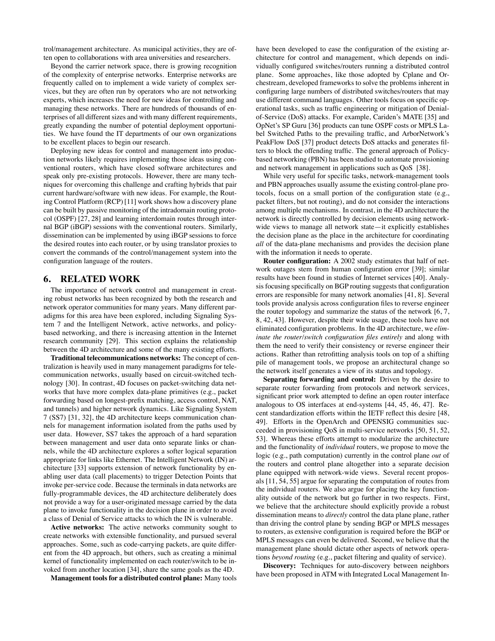trol/management architecture. As municipal activities, they are often open to collaborations with area universities and researchers.

Beyond the carrier network space, there is growing recognition of the complexity of enterprise networks. Enterprise networks are frequently called on to implement a wide variety of complex services, but they are often run by operators who are not networking experts, which increases the need for new ideas for controlling and managing these networks. There are hundreds of thousands of enterprises of all different sizes and with many different requirements, greatly expanding the number of potential deployment opportunities. We have found the IT departments of our own organizations to be excellent places to begin our research.

Deploying new ideas for control and management into production networks likely requires implementing those ideas using conventional routers, which have closed software architectures and speak only pre-existing protocols. However, there are many techniques for overcoming this challenge and crafting hybrids that pair current hardware/software with new ideas. For example, the Routing Control Platform (RCP) [11] work shows how a discovery plane can be built by passive monitoring of the intradomain routing protocol (OSPF) [27, 28] and learning interdomain routes through internal BGP (iBGP) sessions with the conventional routers. Similarly, dissemination can be implemented by using iBGP sessions to force the desired routes into each router, or by using translator proxies to convert the commands of the control/management system into the configuration language of the routers.

## **6. RELATED WORK**

The importance of network control and management in creating robust networks has been recognized by both the research and network operator communities for many years. Many different paradigms for this area have been explored, including Signaling System 7 and the Intelligent Network, active networks, and policybased networking, and there is increasing attention in the Internet research community [29]. This section explains the relationship between the 4D architecture and some of the many existing efforts.

**Traditional telecommunications networks:** The concept of centralization is heavily used in many management paradigms for telecommunication networks, usually based on circuit-switched technology [30]. In contrast, 4D focuses on packet-switching data networks that have more complex data-plane primitives (e.g., packet forwarding based on longest-prefix matching, access control, NAT, and tunnels) and higher network dynamics. Like Signaling System 7 (SS7) [31, 32], the 4D architecture keeps communication channels for management information isolated from the paths used by user data. However, SS7 takes the approach of a hard separation between management and user data onto separate links or channels, while the 4D architecture explores a softer logical separation appropriate for links like Ethernet. The Intelligent Network (IN) architecture [33] supports extension of network functionality by enabling user data (call placements) to trigger Detection Points that invoke per-service code. Because the terminals in data networks are fully-programmable devices, the 4D architecture deliberately does not provide a way for a user-originated message carried by the data plane to invoke functionality in the decision plane in order to avoid a class of Denial of Service attacks to which the IN is vulnerable.

**Active networks:** The active networks community sought to create networks with extensible functionality, and pursued several approaches. Some, such as code-carrying packets, are quite different from the 4D approach, but others, such as creating a minimal kernel of functionality implemented on each router/switch to be invoked from another location [34], share the same goals as the 4D.

**Management tools for a distributed control plane:** Many tools

have been developed to ease the configuration of the existing architecture for control and management, which depends on individually configured switches/routers running a distributed control plane. Some approaches, like those adopted by Cplane and Orchestream, developed frameworks to solve the problems inherent in configuring large numbers of distributed switches/routers that may use different command languages. Other tools focus on specific operational tasks, such as traffic engineering or mitigation of Denialof-Service (DoS) attacks. For example, Cariden's MATE [35] and OpNet's SP Guru [36] products can tune OSPF costs or MPLS Label Switched Paths to the prevailing traffic, and ArborNetwork's PeakFlow DoS [37] product detects DoS attacks and generates filters to block the offending traffic. The general approach of Policybased networking (PBN) has been studied to automate provisioning and network management in applications such as QoS [38].

While very useful for specific tasks, network-management tools and PBN approaches usually assume the existing control-plane protocols, focus on a small portion of the configuration state (e.g., packet filters, but not routing), and do not consider the interactions among multiple mechanisms. In contrast, in the 4D architecture the network is directly controlled by decision elements using networkwide views to manage all network state—it explicitly establishes the decision plane as the place in the architecture for coordinating *all* of the data-plane mechanisms and provides the decision plane with the information it needs to operate.

**Router configuration:** A 2002 study estimates that half of network outages stem from human configuration error [39]; similar results have been found in studies of Internet services [40]. Analysis focusing specifically on BGP routing suggests that configuration errors are responsible for many network anomalies [41, 8]. Several tools provide analysis across configuration files to reverse engineer the router topology and summarize the status of the network [6, 7, 8, 42, 43]. However, despite their wide usage, these tools have not eliminated configuration problems. In the 4D architecture, we *eliminate the router/switch configuration files entirely* and along with them the need to verify their consistency or reverse engineer their actions. Rather than retrofitting analysis tools on top of a shifting pile of management tools, we propose an architectural change so the network itself generates a view of its status and topology.

**Separating forwarding and control:** Driven by the desire to separate router forwarding from protocols and network services, significant prior work attempted to define an open router interface analogous to OS interfaces at end-systems [44, 45, 46, 47]. Recent standardization efforts within the IETF reflect this desire [48, 49]. Efforts in the OpenArch and OPENSIG communities succeeded in provisioning QoS in multi-service networks [50, 51, 52, 53]. Whereas these efforts attempt to modularize the architecture and the functionality of *individual* routers, we propose to move the logic (e.g., path computation) currently in the control plane *out* of the routers and control plane altogether into a separate decision plane equipped with network-wide views. Several recent proposals [11, 54, 55] argue for separating the computation of routes from the individual routers. We also argue for placing the key functionality outside of the network but go further in two respects. First, we believe that the architecture should explicitly provide a robust dissemination means to *directly* control the data plane plane, rather than driving the control plane by sending BGP or MPLS messages to routers, as extensive configuration is required before the BGP or MPLS messages can even be delivered. Second, we believe that the management plane should dictate other aspects of network operations *beyond routing* (e.g., packet filtering and quality of service).

**Discovery:** Techniques for auto-discovery between neighbors have been proposed in ATM with Integrated Local Management In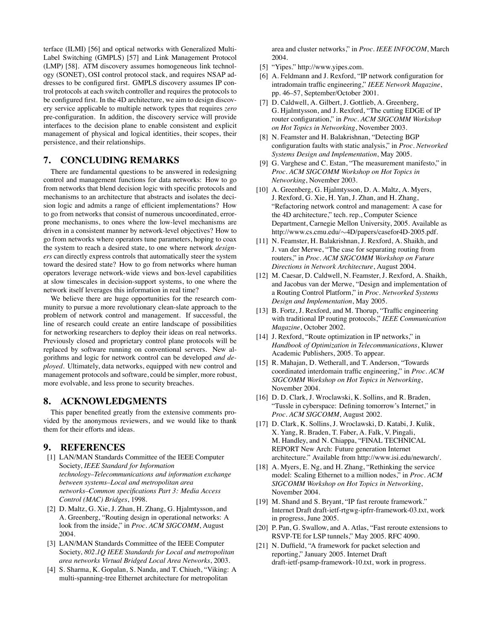terface (ILMI) [56] and optical networks with Generalized Multi-Label Switching (GMPLS) [57] and Link Management Protocol (LMP) [58]. ATM discovery assumes homogeneous link technology (SONET), OSI control protocol stack, and requires NSAP addresses to be configured first. GMPLS discovery assumes IP control protocols at each switch controller and requires the protocols to be configured first. In the 4D architecture, we aim to design discovery service applicable to multiple network types that requires *zero* pre-configuration. In addition, the discovery service will provide interfaces to the decision plane to enable consistent and explicit management of physical and logical identities, their scopes, their persistence, and their relationships.

# **7. CONCLUDING REMARKS**

There are fundamental questions to be answered in redesigning control and management functions for data networks: How to go from networks that blend decision logic with specific protocols and mechanisms to an architecture that abstracts and isolates the decision logic and admits a range of efficient implementations? How to go from networks that consist of numerous uncoordinated, errorprone mechanisms, to ones where the low-level mechanisms are driven in a consistent manner by network-level objectives? How to go from networks where operators tune parameters, hoping to coax the system to reach a desired state, to one where network *designers* can directly express controls that automatically steer the system toward the desired state? How to go from networks where human operators leverage network-wide views and box-level capabilities at slow timescales in decision-support systems, to one where the network itself leverages this information in real time?

We believe there are huge opportunities for the research community to pursue a more revolutionary clean-slate approach to the problem of network control and management. If successful, the line of research could create an entire landscape of possibilities for networking researchers to deploy their ideas on real networks. Previously closed and proprietary control plane protocols will be replaced by software running on conventional servers. New algorithms and logic for network control can be developed *and deployed*. Ultimately, data networks, equipped with new control and management protocols and software, could be simpler, more robust, more evolvable, and less prone to security breaches.

# **8. ACKNOWLEDGMENTS**

This paper benefited greatly from the extensive comments provided by the anonymous reviewers, and we would like to thank them for their efforts and ideas.

## **9. REFERENCES**

- [1] LAN/MAN Standards Committee of the IEEE Computer Society, *IEEE Standard for Information technology–Telecommunications and information exchange between systems–Local and metropolitan area networks–Common specifications Part 3: Media Access Control (MAC) Bridges*, 1998.
- [2] D. Maltz, G. Xie, J. Zhan, H. Zhang, G. Hjalmtysson, and A. Greenberg, "Routing design in operational networks: A look from the inside," in *Proc. ACM SIGCOMM*, August 2004.
- [3] LAN/MAN Standards Committee of the IEEE Computer Society, *802.1Q IEEE Standards for Local and metropolitan area networks Virtual Bridged Local Area Networks*, 2003.
- [4] S. Sharma, K. Gopalan, S. Nanda, and T. Chiueh, "Viking: A multi-spanning-tree Ethernet architecture for metropolitan

area and cluster networks," in *Proc. IEEE INFOCOM*, March 2004.

- [5] "Yipes." http://www.yipes.com.
- [6] A. Feldmann and J. Rexford, "IP network configuration for intradomain traffic engineering," *IEEE Network Magazine*, pp. 46–57, September/October 2001.
- [7] D. Caldwell, A. Gilbert, J. Gottlieb, A. Greenberg, G. Hjalmtysson, and J. Rexford, "The cutting EDGE of IP router configuration," in *Proc. ACM SIGCOMM Workshop on Hot Topics in Networking*, November 2003.
- [8] N. Feamster and H. Balakrishnan, "Detecting BGP configuration faults with static analysis," in *Proc. Networked Systems Design and Implementation*, May 2005.
- [9] G. Varghese and C. Estan, "The measurement manifesto," in *Proc. ACM SIGCOMM Workshop on Hot Topics in Networking*, November 2003.
- [10] A. Greenberg, G. Hjalmtysson, D. A. Maltz, A. Myers, J. Rexford, G. Xie, H. Yan, J. Zhan, and H. Zhang, "Refactoring network control and management: A case for the 4D architecture," tech. rep., Computer Science Department, Carnegie Mellon University, 2005. Available as http://www.cs.cmu.edu/∼4D/papers/casefor4D-2005.pdf.
- [11] N. Feamster, H. Balakrishnan, J. Rexford, A. Shaikh, and J. van der Merwe, "The case for separating routing from routers," in *Proc. ACM SIGCOMM Workshop on Future Directions in Network Architecture*, August 2004.
- [12] M. Caesar, D. Caldwell, N. Feamster, J. Rexford, A. Shaikh, and Jacobus van der Merwe, "Design and implementation of a Routing Control Platform," in *Proc. Networked Systems Design and Implementation*, May 2005.
- [13] B. Fortz, J. Rexford, and M. Thorup, "Traffic engineering with traditional IP routing protocols," *IEEE Communication Magazine*, October 2002.
- [14] J. Rexford, "Route optimization in IP networks," in *Handbook of Optimization in Telecommunications*, Kluwer Academic Publishers, 2005. To appear.
- [15] R. Mahajan, D. Wetherall, and T. Anderson, "Towards" coordinated interdomain traffic engineering," in *Proc. ACM SIGCOMM Workshop on Hot Topics in Networking*, November 2004.
- [16] D. D. Clark, J. Wroclawski, K. Sollins, and R. Braden, "Tussle in cyberspace: Defining tomorrow's Internet," in *Proc. ACM SIGCOMM*, August 2002.
- [17] D. Clark, K. Sollins, J. Wroclawski, D. Katabi, J. Kulik, X. Yang, R. Braden, T. Faber, A. Falk, V. Pingali, M. Handley, and N. Chiappa, "FINAL TECHNICAL REPORT New Arch: Future generation Internet architecture." Available from http://www.isi.edu/newarch/.
- [18] A. Myers, E. Ng, and H. Zhang, "Rethinking the service model: Scaling Ethernet to a million nodes," in *Proc. ACM SIGCOMM Workshop on Hot Topics in Networking*, November 2004.
- [19] M. Shand and S. Bryant, "IP fast reroute framework." Internet Draft draft-ietf-rtgwg-ipfrr-framework-03.txt, work in progress, June 2005.
- [20] P. Pan, G. Swallow, and A. Atlas, "Fast reroute extensions to RSVP-TE for LSP tunnels," May 2005. RFC 4090.
- [21] N. Duffield, "A framework for packet selection and reporting," January 2005. Internet Draft draft-ietf-psamp-framework-10.txt, work in progress.